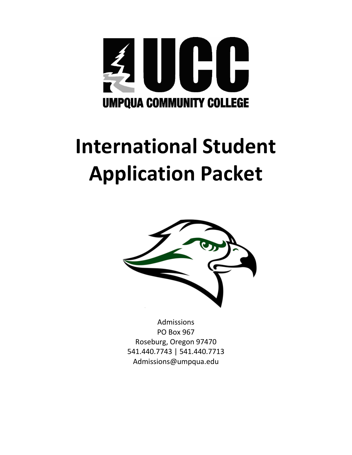

# **International Student Application Packet**



Admissions PO Box 967 Roseburg, Oregon 97470 541.440.7743 | 541.440.7713 Admissions@umpqua.edu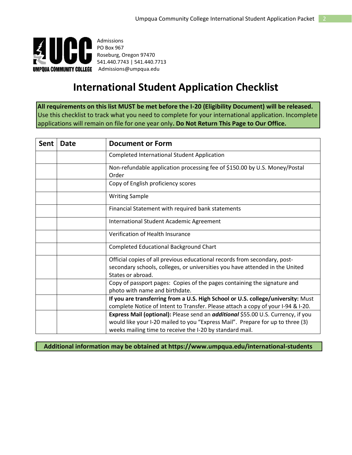

Admissions PO Box 967 Roseburg, Oregon 97470 541.440.7743 | 541.440.7713 **UMPQUA COMMUNITY COLLEGE** Admissions@umpqua.edu

## **International Student Application Checklist**

**All requirements on this list MUST be met before the I-20 (Eligibility Document) will be released.**  Use this checklist to track what you need to complete for your international application. Incomplete applications will remain on file for one year only**. Do Not Return This Page to Our Office.**

| Sent | <b>Date</b> | <b>Document or Form</b>                                                                                                                                                                                                        |  |
|------|-------------|--------------------------------------------------------------------------------------------------------------------------------------------------------------------------------------------------------------------------------|--|
|      |             | <b>Completed International Student Application</b>                                                                                                                                                                             |  |
|      |             | Non-refundable application processing fee of \$150.00 by U.S. Money/Postal<br>Order                                                                                                                                            |  |
|      |             | Copy of English proficiency scores                                                                                                                                                                                             |  |
|      |             | <b>Writing Sample</b>                                                                                                                                                                                                          |  |
|      |             | Financial Statement with required bank statements                                                                                                                                                                              |  |
|      |             | International Student Academic Agreement                                                                                                                                                                                       |  |
|      |             | Verification of Health Insurance                                                                                                                                                                                               |  |
|      |             | <b>Completed Educational Background Chart</b>                                                                                                                                                                                  |  |
|      |             | Official copies of all previous educational records from secondary, post-<br>secondary schools, colleges, or universities you have attended in the United<br>States or abroad.                                                 |  |
|      |             | Copy of passport pages: Copies of the pages containing the signature and<br>photo with name and birthdate.                                                                                                                     |  |
|      |             | If you are transferring from a U.S. High School or U.S. college/university: Must                                                                                                                                               |  |
|      |             | complete Notice of Intent to Transfer. Please attach a copy of your I-94 & I-20.                                                                                                                                               |  |
|      |             | Express Mail (optional): Please send an additional \$55.00 U.S. Currency, if you<br>would like your I-20 mailed to you "Express Mail". Prepare for up to three (3)<br>weeks mailing time to receive the I-20 by standard mail. |  |

**Additional information may be obtained at https://www.umpqua.edu/international-students**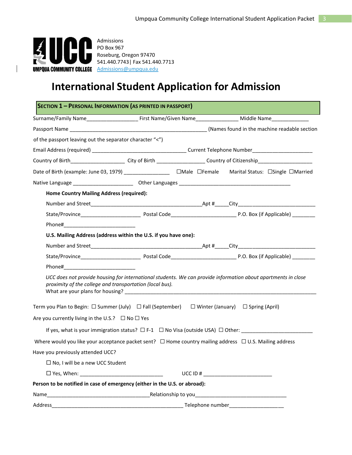

 $\overline{\phantom{a}}$ 

Admissions PO Box 967 Roseburg, Oregon 97470 541.440.7743| Fax 541.440.7713

### **International Student Application for Admission**

| <b>SECTION 1 - PERSONAL INFORMATION (AS PRINTED IN PASSPORT)</b>                                                                                                          |  |  |                                                                                                         |
|---------------------------------------------------------------------------------------------------------------------------------------------------------------------------|--|--|---------------------------------------------------------------------------------------------------------|
|                                                                                                                                                                           |  |  |                                                                                                         |
|                                                                                                                                                                           |  |  |                                                                                                         |
| of the passport leaving out the separator character "<")                                                                                                                  |  |  |                                                                                                         |
|                                                                                                                                                                           |  |  |                                                                                                         |
|                                                                                                                                                                           |  |  |                                                                                                         |
| Date of Birth (example: June 03, 1979) ___________________ DMale DFemale Marital Status: DSingle DMarried                                                                 |  |  |                                                                                                         |
|                                                                                                                                                                           |  |  |                                                                                                         |
| <b>Home Country Mailing Address (required):</b>                                                                                                                           |  |  |                                                                                                         |
|                                                                                                                                                                           |  |  |                                                                                                         |
|                                                                                                                                                                           |  |  |                                                                                                         |
|                                                                                                                                                                           |  |  |                                                                                                         |
| U.S. Mailing Address (address within the U.S. if you have one):                                                                                                           |  |  |                                                                                                         |
|                                                                                                                                                                           |  |  |                                                                                                         |
|                                                                                                                                                                           |  |  |                                                                                                         |
|                                                                                                                                                                           |  |  |                                                                                                         |
| UCC does not provide housing for international students. We can provide information about apartments in close<br>proximity of the college and transportation (local bus). |  |  |                                                                                                         |
| Term you Plan to Begin: $\Box$ Summer (July) $\Box$ Fall (September) $\Box$ Winter (January) $\Box$ Spring (April)                                                        |  |  |                                                                                                         |
| Are you currently living in the U.S.? $\Box$ No $\Box$ Yes                                                                                                                |  |  |                                                                                                         |
|                                                                                                                                                                           |  |  | If yes, what is your immigration status? $\square$ F-1 $\square$ No Visa (outside USA) $\square$ Other: |
| Where would you like your acceptance packet sent? $\Box$ Home country mailing address $\Box$ U.S. Mailing address                                                         |  |  |                                                                                                         |
| Have you previously attended UCC?                                                                                                                                         |  |  |                                                                                                         |
| $\square$ No, I will be a new UCC Student                                                                                                                                 |  |  |                                                                                                         |
|                                                                                                                                                                           |  |  | UCC ID # $\_$                                                                                           |
| Person to be notified in case of emergency (either in the U.S. or abroad):                                                                                                |  |  |                                                                                                         |
| Name                                                                                                                                                                      |  |  |                                                                                                         |
| Address                                                                                                                                                                   |  |  | Telephone number______________________                                                                  |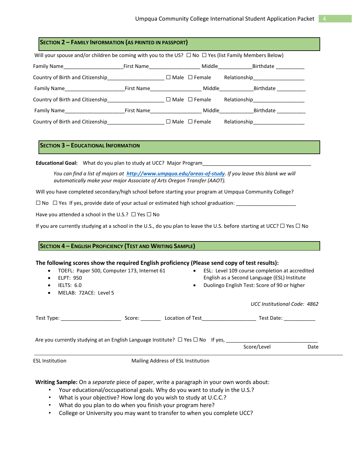| SECTION 2 - FAMILY INFORMATION (AS PRINTED IN PASSPORT)                                                             |  |  |  |  |                                    |
|---------------------------------------------------------------------------------------------------------------------|--|--|--|--|------------------------------------|
| Will your spouse and/or children be coming with you to the US? $\Box$ No $\Box$ Yes (list Family Members Below)     |  |  |  |  |                                    |
| Family Name___________________________First Name_______________________Middle________________Birthdate ____________ |  |  |  |  |                                    |
| Country of Birth and Citizenship_______________________ $\Box$ Male $\Box$ Female                                   |  |  |  |  | Relationship______________________ |
|                                                                                                                     |  |  |  |  |                                    |
|                                                                                                                     |  |  |  |  | Relationship____________________   |
|                                                                                                                     |  |  |  |  |                                    |
| Country of Birth and Citizenship____________________________ $\Box$ Male $\Box$ Female                              |  |  |  |  | Relationship_____________________  |

#### **SECTION 3 – EDUCATIONAL INFORMATION**

Educational Goal: What do you plan to study at UCC? Major Program

*You can find a list of majors at <http://www.umpqua.edu/areas-of-study>[.](http://www.umpqua.edu/areas-of-study) If you leave this blank we will automatically make your major Associate of Arts Oregon Transfer (AAOT).* 

Will you have completed secondary/high school before starting your program at Umpqua Community College?

 $□$  No  $□$  Yes If yes, provide date of your actual or estimated high school graduation:  $□$ 

Have you attended a school in the U.S.?  $\Box$  Yes  $\Box$  No

If you are currently studying at a school in the U.S., do you plan to leave the U.S. before starting at UCC?  $\Box$  Yes  $\Box$  No

#### **SECTION 4 – ENGLISH PROFICIENCY (TEST AND WRITING SAMPLE)**

#### **The following scores show the required English proficiency (Please send copy of test results):**

| TOEFL: Paper 500, Computer 173, Internet 61<br>$\bullet$<br>ELPT: 950<br>IELTS: $6.0$<br>٠<br>MELAB: 72ACE: Level 5<br>٠ |               | $\bullet$                          | • ESL: Level 109 course completion at accredited<br>English as a Second Language (ESL) Institute<br>Duolingo English Test: Score of 90 or higher                                                                               |      |
|--------------------------------------------------------------------------------------------------------------------------|---------------|------------------------------------|--------------------------------------------------------------------------------------------------------------------------------------------------------------------------------------------------------------------------------|------|
|                                                                                                                          |               |                                    | UCC Institutional Code: 4862                                                                                                                                                                                                   |      |
| Test Type: ______________________                                                                                        | Score: $\_\_$ |                                    | Test Date: \\square\\sqrt{\sqrt{\sqrt{\sqrt{\sqrt{\sqrt{\sqrt{\sqrt{\sqrt{\sqrt{\sqrt{\sqrt{\sqrt{\sqrt{\sqrt{\sqrt{\sqrt{\sqrt{\sqrt{\sqrt{\sqrt{\sqrt{\sqrt{\sqrt{\sqrt{\sqrt{\sqrt{\sqrt{\sqrt{\sqrt{\sqrt{\sqrt{\sqrt{\sqr |      |
| Are you currently studying at an English Language Institute? $\Box$ Yes $\Box$ No If yes,                                |               |                                    | Score/Level                                                                                                                                                                                                                    | Date |
| ESL Institution                                                                                                          |               | Mailing Address of ESL Institution |                                                                                                                                                                                                                                |      |

**Writing Sample:** On a *separate* piece of paper, write a paragraph in your own words about:

- Your educational/occupational goals. Why do you want to study in the U.S.?
- What is your objective? How long do you wish to study at U.C.C.?
- What do you plan to do when you finish your program here?
- College or University you may want to transfer to when you complete UCC?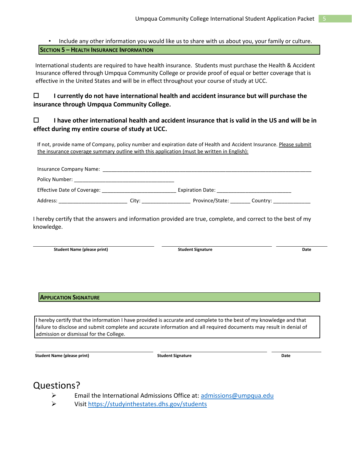#### • Include any other information you would like us to share with us about you, your family or culture. **SECTION 5 – HEALTH INSURANCE INFORMATION**

International students are required to have health insurance. Students must purchase the Health & Accident Insurance offered through Umpqua Community College or provide proof of equal or better coverage that is effective in the United States and will be in effect throughout your course of study at UCC.

#### **I currently do not have international health and accident insurance but will purchase the insurance through Umpqua Community College.**

#### **I have other international health and accident insurance that is valid in the US and will be in effect during my entire course of study at UCC.**

If not, provide name of Company, policy number and expiration date of Health and Accident Insurance. Please submit the insurance coverage summary outline with this application (must be written in English):

| Insurance Company Name:     |       |                         |          |  |  |
|-----------------------------|-------|-------------------------|----------|--|--|
| Policy Number:              |       |                         |          |  |  |
| Effective Date of Coverage: |       | <b>Expiration Date:</b> |          |  |  |
| Address:                    | City: | Province/State:         | Country: |  |  |

I hereby certify that the answers and information provided are true, complete, and correct to the best of my knowledge.

Student Name (please print) and the student Student Signature and the student Signature of the Student Signature Date

#### **APPLICATION SIGNATURE**

I hereby certify that the information I have provided is accurate and complete to the best of my knowledge and that failure to disclose and submit complete and accurate information and all required documents may result in denial of admission or dismissal for the College.

**Student Name (please print) and Student Signature Student Signature According to According the Student Signature Date** 

### Questions?

- $\triangleright$  Email the International Admissions Office at: admissions@umpqua.edu
- Visit<https://studyinthestates.dhs.gov/students>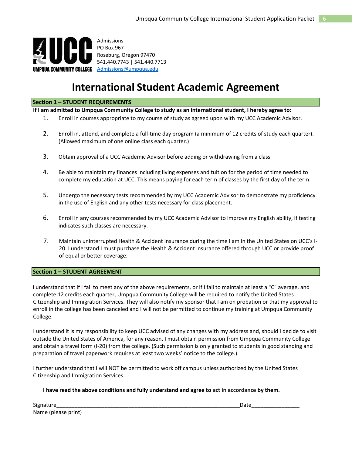

Admissions PO Box 967 Roseburg, Oregon 97470 541.440.7743 | 541.440.7713 UMPQUA COMMUNITY COLLEGE Admissions@umpqua.edu

### **International Student Academic Agreement**

#### **Section 1 – STUDENT REQUIREMENTS**

**If I am admitted to Umpqua Community College to study as an international student, I hereby agree to:** 

- 1. Enroll in courses appropriate to my course of study as agreed upon with my UCC Academic Advisor.
- 2. Enroll in, attend, and complete a full-time day program (a minimum of 12 credits of study each quarter). (Allowed maximum of one online class each quarter.)
- 3. Obtain approval of a UCC Academic Advisor before adding or withdrawing from a class.
- 4. Be able to maintain my finances including living expenses and tuition for the period of time needed to complete my education at UCC. This means paying for each term of classes by the first day of the term.
- 5. Undergo the necessary tests recommended by my UCC Academic Advisor to demonstrate my proficiency in the use of English and any other tests necessary for class placement.
- 6. Enroll in any courses recommended by my UCC Academic Advisor to improve my English ability, if testing indicates such classes are necessary.
- 7. Maintain uninterrupted Health & Accident Insurance during the time I am in the United States on UCC's I-20. I understand I must purchase the Health & Accident Insurance offered through UCC or provide proof of equal or better coverage.

#### **Section 1 – STUDENT AGREEMENT**

I understand that if I fail to meet any of the above requirements, or if I fail to maintain at least a "C" average, and complete 12 credits each quarter, Umpqua Community College will be required to notify the United States Citizenship and Immigration Services. They will also notify my sponsor that I am on probation or that my approval to enroll in the college has been canceled and I will not be permitted to continue my training at Umpqua Community College.

I understand it is my responsibility to keep UCC advised of any changes with my address and, should I decide to visit outside the United States of America, for any reason, I must obtain permission from Umpqua Community College and obtain a travel form (I-20) from the college. (Such permission is only granted to students in good standing and preparation of travel paperwork requires at least two weeks' notice to the college.)

I further understand that I will NOT be permitted to work off campus unless authorized by the United States Citizenship and Immigration Services.

#### **I have read the above conditions and fully understand and agree to act in accordance by them.**

Signature\_\_\_\_\_\_\_\_\_\_\_\_\_\_\_\_\_\_\_\_\_\_\_\_\_\_\_\_\_\_\_\_\_\_\_\_\_\_\_\_\_\_\_\_\_\_\_\_\_\_\_\_\_\_\_\_\_\_\_\_\_Date\_\_\_\_\_\_\_\_\_\_\_\_\_\_\_\_ Name (please print) \_\_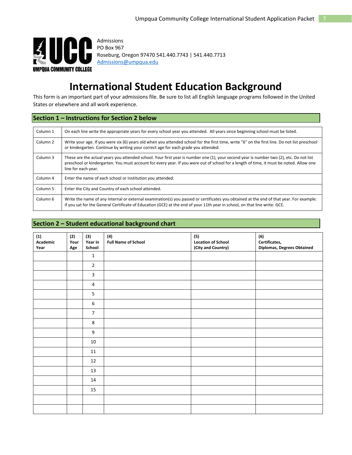

Admissions PO Box 967 Roseburg, Oregon 97470 541.440.7743 | 541.440.7713 Admissions@umpqua.edu

### **International Student Education Background**

This form is an important part of your admissions file. Be sure to list all English language programs followed in the United States or elsewhere and all work experience.

#### **Section 1 – Instructions for Section 2 below**

| Column 1            | On each line write the appropriate years for every school year you attended. All years since beginning school must be listed.                                                                                                                                                                             |
|---------------------|-----------------------------------------------------------------------------------------------------------------------------------------------------------------------------------------------------------------------------------------------------------------------------------------------------------|
| Column <sub>2</sub> | Write your age. If you were six (6) years old when you attended school for the first time, write "6" on the first line. Do not list preschool<br>or kindergarten. Continue by writing your correct age for each grade you attended.                                                                       |
| Column 3            | These are the actual years you attended school. Your first year is number one (1), your second year is number two (2), etc. Do not list<br>preschool or kindergarten. You must account for every year. If you were out of school for a length of time, it must be noted. Allow one<br>line for each year. |
| Column 4            | Enter the name of each school or institution you attended.                                                                                                                                                                                                                                                |
| Column 5            | Enter the City and Country of each school attended.                                                                                                                                                                                                                                                       |
| Column 6            | Write the name of any internal or external examination(s) you passed or certificates you obtained at the end of that year. For example:<br>if you sat for the General Certificate of Education (GCE) at the end of your 11th year in school, on that line write: GCE.                                     |

#### **Section 2 – Student educational background chart**

| (1)<br>Academic<br>Year | (2)<br>Your<br>Age | (3)<br>Year in<br>School | (4)<br><b>Full Name of School</b> | (5)<br><b>Location of School</b><br>(City and Country) | (6)<br>Certificates,<br><b>Diplomas, Degrees Obtained</b> |
|-------------------------|--------------------|--------------------------|-----------------------------------|--------------------------------------------------------|-----------------------------------------------------------|
|                         |                    | $\mathbf{1}$             |                                   |                                                        |                                                           |
|                         |                    | $\overline{2}$           |                                   |                                                        |                                                           |
|                         |                    | $\overline{3}$           |                                   |                                                        |                                                           |
|                         |                    | $\overline{4}$           |                                   |                                                        |                                                           |
|                         |                    | 5                        |                                   |                                                        |                                                           |
|                         |                    | 6                        |                                   |                                                        |                                                           |
|                         |                    | $\overline{7}$           |                                   |                                                        |                                                           |
|                         |                    | 8                        |                                   |                                                        |                                                           |
|                         |                    | $\boldsymbol{9}$         |                                   |                                                        |                                                           |
|                         |                    | $10\,$                   |                                   |                                                        |                                                           |
|                         |                    | $11\,$                   |                                   |                                                        |                                                           |
|                         |                    | 12                       |                                   |                                                        |                                                           |
|                         |                    | 13                       |                                   |                                                        |                                                           |
|                         |                    | 14                       |                                   |                                                        |                                                           |
|                         |                    | $15\,$                   |                                   |                                                        |                                                           |
|                         |                    |                          |                                   |                                                        |                                                           |
|                         |                    |                          |                                   |                                                        |                                                           |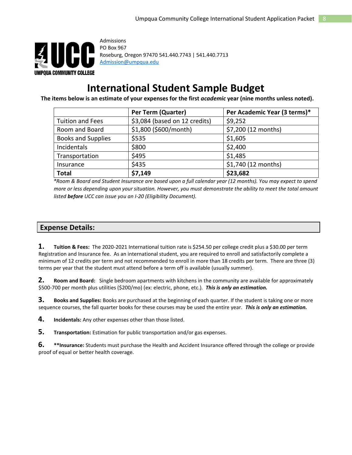

Admissions PO Box 967 Roseburg, Oregon 97470 541.440.7743 | 541.440.7713 Admission@umpqua.edu

### **International Student Sample Budget**

 **The items below is an estimate of your expenses for the first** *academic* **year (nine months unless noted).**

|                           | Per Term (Quarter)            | Per Academic Year (3 terms)* |
|---------------------------|-------------------------------|------------------------------|
| <b>Tuition and Fees</b>   | \$3,084 (based on 12 credits) | \$9,252                      |
| Room and Board            | \$1,800 (\$600/month)         | \$7,200 (12 months)          |
| <b>Books and Supplies</b> | \$535                         | \$1,605                      |
| Incidentals               | \$800                         | \$2,400                      |
| Transportation            | \$495                         | \$1,485                      |
| Insurance                 | \$435                         | \$1,740 (12 months)          |
| <b>Total</b>              | \$7,149                       | \$23,682                     |

*\*Room & Board and Student Insurance are based upon a full calendar year (12 months). You may expect to spend more or less depending upon your situation. However, you must demonstrate the ability to meet the total amount listed before UCC can issue you an I-20 (Eligibility Document).* 

#### **Expense Details:**

**1. Tuition & Fees:** The 2020-2021 International tuition rate is \$254.50 per college credit plus a \$30.00 per term Registration and Insurance fee. As an international student, you are required to enroll and satisfactorily complete a minimum of 12 credits per term and not recommended to enroll in more than 18 credits per term. There are three (3) terms per year that the student must attend before a term off is available (usually summer).

**2. Room and Board:** Single bedroom apartments with kitchens in the community are available for approximately \$500-700 per month plus utilities (\$200/mo) (ex: electric, phone, etc.). *This is only an estimation.*

**3. Books and Supplies:** Books are purchased at the beginning of each quarter. If the student is taking one or more sequence courses, the fall quarter books for these courses may be used the entire year. *This is only an estimation.* 

**4. Incidentals:** Any other expenses other than those listed.

**5. Transportation:** Estimation for public transportation and/or gas expenses.

**6. \*\*Insurance:** Students must purchase the Health and Accident Insurance offered through the college or provide proof of equal or better health coverage.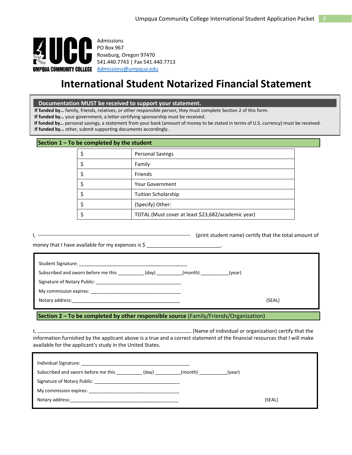

Admissions PO Box 967 Roseburg, Oregon 97470 541.440.7743 | Fax 541.440.7713

### **International Student Notarized Financial Statement**

 **Documentation MUST be received to support your statement.** 

**If funded by…** family, friends, relatives, or other responsible person, they must complete Section 2 of this form.

**If funded by…** your government, a letter certifying sponsorship must be received.

**If funded by…** personal savings, a statement from your bank (amount of money to be stated in terms of U.S. currency) must be received.

**If funded by…** other, submit supporting documents accordingly.

#### **Section 1 – To be completed by the student**

| <b>Personal Savings</b>                            |
|----------------------------------------------------|
| Family                                             |
| Friends                                            |
| <b>Your Government</b>                             |
| <b>Tuition Scholarship</b>                         |
| (Specify) Other:                                   |
| TOTAL (Must cover at least \$23,682/academic year) |

|  | (print student name) certify that the total amount of |
|--|-------------------------------------------------------|
|  |                                                       |

money that I have available for my expenses is \$ \_\_\_\_\_\_\_\_\_\_\_\_\_\_\_\_\_\_\_\_\_\_\_\_\_\_\_\_\_\_\_

| Subscribed and sworn before me this (day)                                                                                                                                                                                      | (month) | (year) |        |
|--------------------------------------------------------------------------------------------------------------------------------------------------------------------------------------------------------------------------------|---------|--------|--------|
| Signature of Notary Public: Signature of Notary Public:                                                                                                                                                                        |         |        |        |
| My commission expires: Note that the state of the state of the state of the state of the state of the state of the state of the state of the state of the state of the state of the state of the state of the state of the sta |         |        |        |
|                                                                                                                                                                                                                                |         |        | (SEAL) |
|                                                                                                                                                                                                                                |         |        |        |

#### **Section 2 – To be completed by other responsible source** (Family/Friends/Organization)

I, (Name of individual or organization) certify that the information furnished by the applicant above is a true and a correct statement of the financial resources that I will make available for the applicant's study in the United States.

| Subscribed and sworn before me this (day)                                                                                                                                                                                     | (month) (year) |        |  |  |  |  |
|-------------------------------------------------------------------------------------------------------------------------------------------------------------------------------------------------------------------------------|----------------|--------|--|--|--|--|
| Signature of Notary Public: Signature of Notary Public:                                                                                                                                                                       |                |        |  |  |  |  |
|                                                                                                                                                                                                                               |                |        |  |  |  |  |
| Notary address: Notary and the set of the set of the set of the set of the set of the set of the set of the set of the set of the set of the set of the set of the set of the set of the set of the set of the set of the set |                | (SEAL) |  |  |  |  |